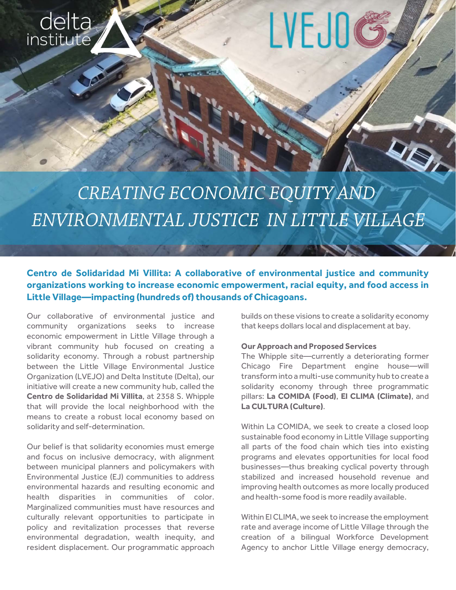

# LVEJ0

## CREATING ECONOMIC EQUITY AND ENVIRONMENTAL JUSTICE IN LITTLE VILLAGE

### **Centro de Solidaridad Mi Villita: A collaborative of environmental justice and community organizations working to increase economic empowerment, racial equity, and food access in Little Village—impacting (hundreds of) thousands of Chicagoans.**

Our collaborative of environmental justice and community organizations seeks to increase economic empowerment in Little Village through a vibrant community hub focused on creating a solidarity economy. Through a robust partnership between the Little Village Environmental Justice Organization (LVEJO) and Delta Institute (Delta), our initiative will create a new community hub, called the **Centro de Solidaridad Mi Villita**, at 2358 S. Whipple that will provide the local neighborhood with the means to create a robust local economy based on solidarity and self-determination.

Our belief is that solidarity economies must emerge and focus on inclusive democracy, with alignment between municipal planners and policymakers with Environmental Justice (EJ) communities to address environmental hazards and resulting economic and health disparities in communities of color. Marginalized communities must have resources and culturally relevant opportunities to participate in policy and revitalization processes that reverse environmental degradation, wealth inequity, and resident displacement. Our programmatic approach

builds on these visions to create a solidarity economy that keeps dollars local and displacement at bay.

#### **Our Approach and Proposed Services**

The Whipple site—currently a deteriorating former Chicago Fire Department engine house—will transform into a multi-use community hub to create a solidarity economy through three programmatic pillars: **La COMIDA (Food)**, **El CLIMA (Climate)**, and **La CULTURA (Culture)**.

Within La COMIDA, we seek to create a closed loop sustainable food economy in Little Village supporting all parts of the food chain which ties into existing programs and elevates opportunities for local food businesses—thus breaking cyclical poverty through stabilized and increased household revenue and improving health outcomes as more locally produced and health-some food is more readily available.

Within El CLIMA, we seek to increase the employment rate and average income of Little Village through the creation of a bilingual Workforce Development Agency to anchor Little Village energy democracy,